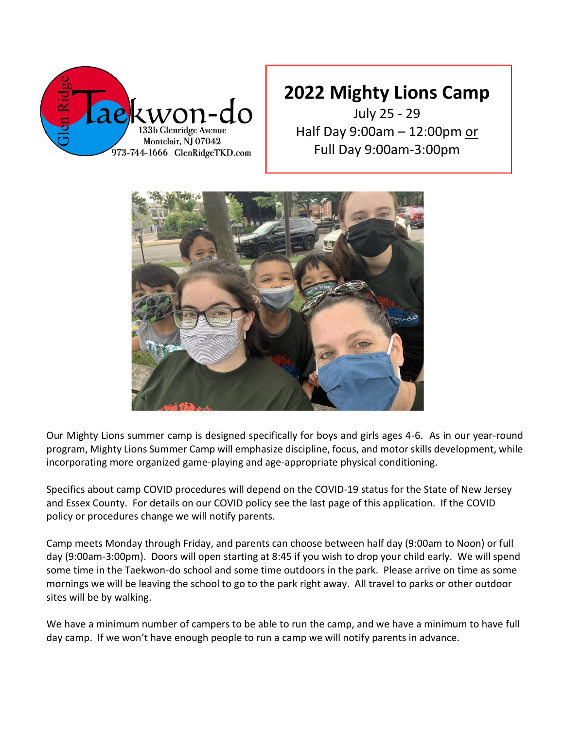

July 25 - 29 Half Day 9:00am – 12:00pm or Full Day 9:00am-3:00pm



Our Mighty Lions summer camp is designed specifically for boys and girls ages 4-6. As in our year-round program, Mighty Lions Summer Camp will emphasize discipline, focus, and motor skills development, while incorporating more organized game-playing and age-appropriate physical conditioning.

Specifics about camp COVID procedures will depend on the COVID-19 status for the State of New Jersey and Essex County. For details on our COVID policy see the last page of this application. If the COVID policy or procedures change we will notify parents.

Camp meets Monday through Friday, and parents can choose between half day (9:00am to Noon) or full day (9:00am-3:00pm). Doors will open starting at 8:45 if you wish to drop your child early. We will spend some time in the Taekwon-do school and some time outdoors in the park. Please arrive on time as some mornings we will be leaving the school to go to the park right away. All travel to parks or other outdoor sites will be by walking.

We have a minimum number of campers to be able to run the camp, and we have a minimum to have full day camp. If we won't have enough people to run a camp we will notify parents in advance.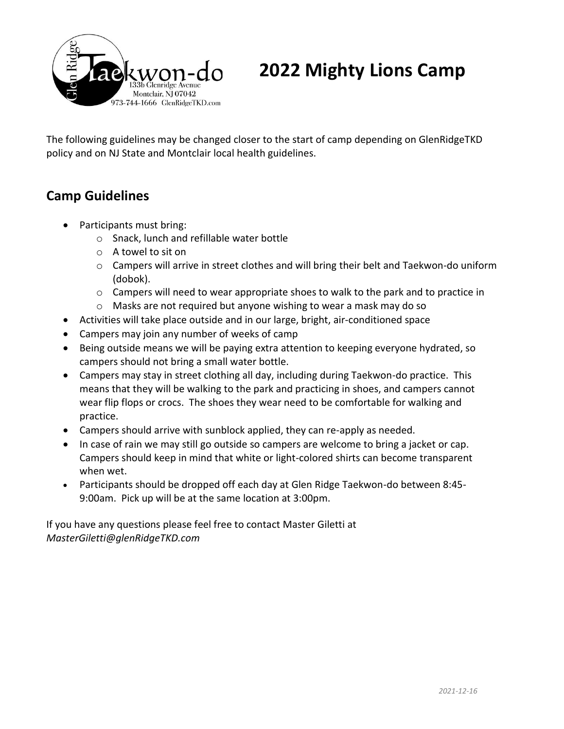

The following guidelines may be changed closer to the start of camp depending on GlenRidgeTKD policy and on NJ State and Montclair local health guidelines.

## **Camp Guidelines**

- Participants must bring:
	- o Snack, lunch and refillable water bottle
	- o A towel to sit on
	- o Campers will arrive in street clothes and will bring their belt and Taekwon-do uniform (dobok).
	- $\circ$  Campers will need to wear appropriate shoes to walk to the park and to practice in
	- o Masks are not required but anyone wishing to wear a mask may do so
- Activities will take place outside and in our large, bright, air-conditioned space
- Campers may join any number of weeks of camp
- Being outside means we will be paying extra attention to keeping everyone hydrated, so campers should not bring a small water bottle.
- Campers may stay in street clothing all day, including during Taekwon-do practice. This means that they will be walking to the park and practicing in shoes, and campers cannot wear flip flops or crocs. The shoes they wear need to be comfortable for walking and practice.
- Campers should arrive with sunblock applied, they can re-apply as needed.
- In case of rain we may still go outside so campers are welcome to bring a jacket or cap. Campers should keep in mind that white or light-colored shirts can become transparent when wet.
- Participants should be dropped off each day at Glen Ridge Taekwon-do between 8:45- 9:00am. Pick up will be at the same location at 3:00pm.

If you have any questions please feel free to contact Master Giletti at *MasterGiletti@glenRidgeTKD.com*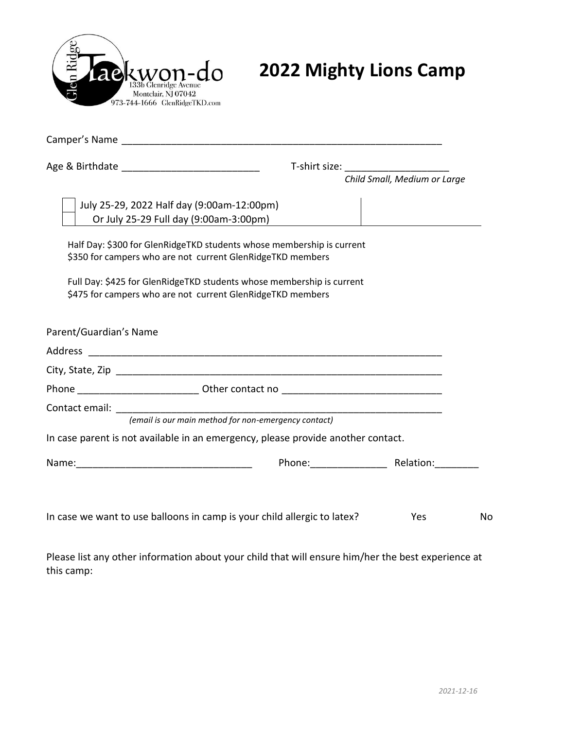

| Camper's Name and the contract of the contract of the contract of the contract of the contract of the contract of the contract of the contract of the contract of the contract of the contract of the contract of the contract |                                                                       |                              |    |
|--------------------------------------------------------------------------------------------------------------------------------------------------------------------------------------------------------------------------------|-----------------------------------------------------------------------|------------------------------|----|
|                                                                                                                                                                                                                                |                                                                       |                              |    |
|                                                                                                                                                                                                                                |                                                                       | Child Small, Medium or Large |    |
| July 25-29, 2022 Half day (9:00am-12:00pm)                                                                                                                                                                                     |                                                                       |                              |    |
| Or July 25-29 Full day (9:00am-3:00pm)                                                                                                                                                                                         |                                                                       |                              |    |
| \$350 for campers who are not current GlenRidgeTKD members                                                                                                                                                                     | Half Day: \$300 for GlenRidgeTKD students whose membership is current |                              |    |
| \$475 for campers who are not current GlenRidgeTKD members                                                                                                                                                                     | Full Day: \$425 for GlenRidgeTKD students whose membership is current |                              |    |
| Parent/Guardian's Name                                                                                                                                                                                                         |                                                                       |                              |    |
|                                                                                                                                                                                                                                |                                                                       |                              |    |
|                                                                                                                                                                                                                                |                                                                       |                              |    |
|                                                                                                                                                                                                                                |                                                                       |                              |    |
|                                                                                                                                                                                                                                |                                                                       |                              |    |
|                                                                                                                                                                                                                                | (email is our main method for non-emergency contact)                  |                              |    |
| In case parent is not available in an emergency, please provide another contact.                                                                                                                                               |                                                                       |                              |    |
|                                                                                                                                                                                                                                |                                                                       |                              |    |
| In case we want to use balloons in camp is your child allergic to latex?                                                                                                                                                       |                                                                       | Yes                          | No |
|                                                                                                                                                                                                                                |                                                                       |                              |    |

Please list any other information about your child that will ensure him/her the best experience at this camp: